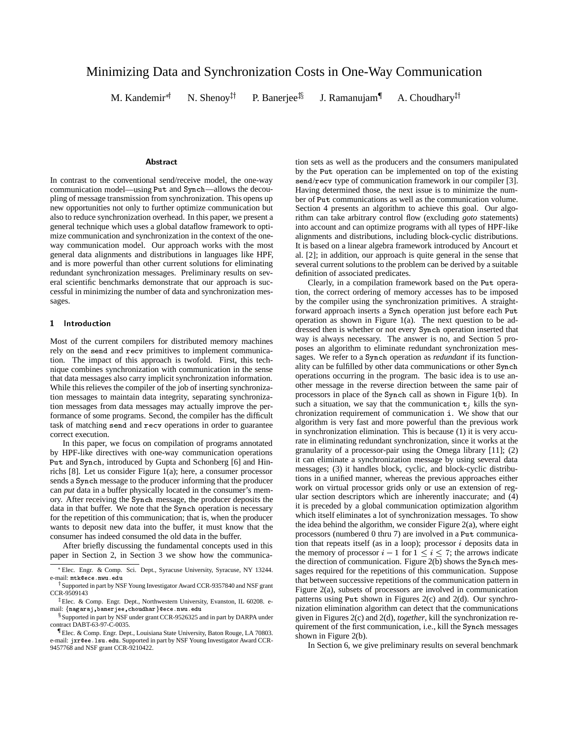# Minimizing Data and Synchronization Costs in One-Way Communication

 $M.$  Kandemir<sup>\*†</sup>

N. Shenoy<sup> $\uparrow\uparrow$ </sup>

P. Banerjee<sup> $\ddagger$ §</sup> J. Ramanujam{ A. Choudhary<sup> $\ddagger$ †</sup>

### Abstract

In contrast to the conventional send/receive model, the one-way communication model—using Put and Synch—allows the decoupling of message transmission from synchronization. This opens up new opportunities not only to further optimize communication but also to reduce synchronization overhead. In this paper, we present a general technique which uses a global dataflow framework to optimize communication and synchronization in the context of the oneway communication model. Our approach works with the most general data alignments and distributions in languages like HPF, and is more powerful than other current solutions for eliminating redundant synchronization messages. Preliminary results on several scientific benchmarks demonstrate that our approach is successful in minimizing the number of data and synchronization messages.

# 1 Introduction

Most of the current compilers for distributed memory machines rely on the send and recv primitives to implement communication. The impact of this approach is twofold. First, this technique combines synchronization with communication in the sense that data messages also carry implicit synchronization information. While this relieves the compiler of the job of inserting synchronization messages to maintain data integrity, separating synchronization messages from data messages may actually improve the performance of some programs. Second, the compiler has the difficult task of matching send and recv operations in order to guarantee correct execution.

In this paper, we focus on compilation of programs annotated by HPF-like directives with one-way communication operations Put and Synch, introduced by Gupta and Schonberg [6] and Hinrichs [8]. Let us consider Figure 1(a); here, a consumer processor sends a Synch message to the producer informing that the producer can *put* data in a buffer physically located in the consumer's memory. After receiving the Synch message, the producer deposits the data in that buffer. We note that the Synch operation is necessary for the repetition of this communication; that is, when the producer wants to deposit new data into the buffer, it must know that the consumer has indeed consumed the old data in the buffer.

After briefly discussing the fundamental concepts used in this paper in Section 2, in Section 3 we show how the communica-

tion sets as well as the producers and the consumers manipulated by the Put operation can be implemented on top of the existing send/recv type of communication framework in our compiler [3]. Having determined those, the next issue is to minimize the number of Put communications as well as the communication volume. Section 4 presents an algorithm to achieve this goal. Our algorithm can take arbitrary control flow (excluding *goto* statements) into account and can optimize programs with all types of HPF-like alignments and distributions, including block-cyclic distributions. It is based on a linear algebra framework introduced by Ancourt et al. [2]; in addition, our approach is quite general in the sense that several current solutions to the problem can be derived by a suitable definition of associated predicates.

Clearly, in a compilation framework based on the Put operation, the correct ordering of memory accesses has to be imposed by the compiler using the synchronization primitives. A straightforward approach inserts a Synch operation just before each Put operation as shown in Figure 1(a). The next question to be addressed then is whether or not every Synch operation inserted that way is always necessary. The answer is no, and Section 5 proposes an algorithm to eliminate redundant synchronization messages. We refer to a Synch operation as *redundant* if its functionality can be fulfilled by other data communications or other Synch operations occurring in the program. The basic idea is to use another message in the reverse direction between the same pair of processors in place of the Synch call as shown in Figure 1(b). In such a situation, we say that the communication  $t_i$  kills the synchronization requirement of communication <sup>i</sup>. We show that our algorithm is very fast and more powerful than the previous work in synchronization elimination. This is because (1) it is very accurate in eliminating redundant synchronization, since it works at the granularity of a processor-pair using the Omega library [11]; (2) it can eliminate a synchronization message by using several data messages; (3) it handles block, cyclic, and block-cyclic distributions in a unified manner, whereas the previous approaches either work on virtual processor grids only or use an extension of regular section descriptors which are inherently inaccurate; and (4) it is preceded by a global communication optimization algorithm which itself eliminates a lot of synchronization messages. To show the idea behind the algorithm, we consider Figure  $2(a)$ , where eight processors (numbered 0 thru 7) are involved in a Put communication that repeats itself (as in a loop); processor  $i$  deposits data in the memory of processor  $i - 1$  for  $1 \le i \le 7$ ; the arrows indicate the direction of communication. Figure 2(b) shows the Synch messages required for the repetitions of this communication. Suppose that between successive repetitions of the communication pattern in Figure 2(a), subsets of processors are involved in communication patterns using Put shown in Figures 2(c) and 2(d). Our synchronization elimination algorithm can detect that the communications given in Figures 2(c) and 2(d), *together*, kill the synchronization requirement of the first communication, i.e., kill the Synch messages shown in Figure 2(b).

In Section 6, we give preliminary results on several benchmark

Elec. Engr. & Comp. Sci. Dept., Syracuse University, Syracuse, NY 13244. e-mail: mtk@ece.nwu.edu

<sup>&</sup>lt;sup>†</sup> Supported in part by NSF Young Investigator Award CCR-9357840 and NSF grant CCR-9509143

<sup>&</sup>lt;sup>‡</sup>Elec. & Comp. Engr. Dept., Northwestern University, Evanston, IL 60208. email: {nagaraj,banerjee,choudhar}@ece.nwu.edu

<sup>&</sup>lt;sup>§</sup> Supported in part by NSF under grant CCR-9526325 and in part by DARPA under contract DABT-63-97-C-0035.

<sup>&</sup>lt;sup>1</sup>Elec. & Comp. Engr. Dept., Louisiana State University, Baton Rouge, LA 70803. e-mail: jxr@ee.lsu.edu. Supported in part by NSF Young Investigator Award CCR-9457768 and NSF grant CCR-9210422.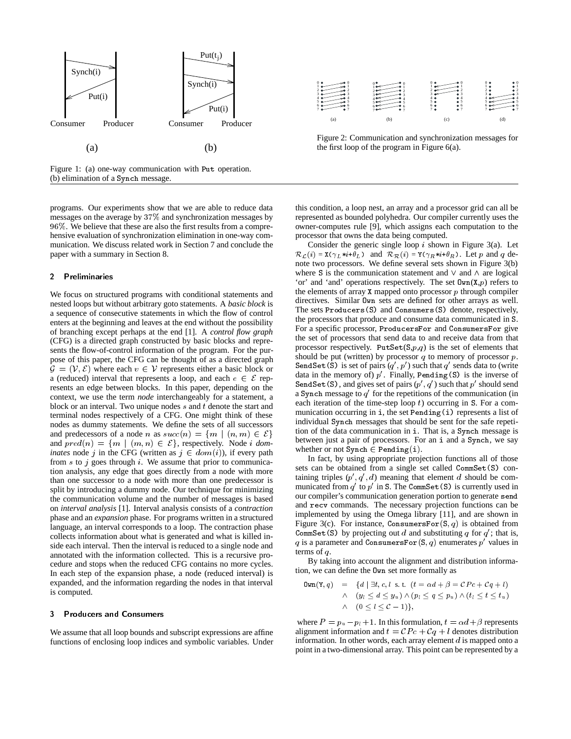

Figure 1: (a) one-way communication with Put operation. (b) elimination of a Synch message.

programs. Our experiments show that we are able to reduce data messages on the average by 37% and synchronization messages by 96%. We believe that these are also the first results from a comprehensive evaluation of synchronization elimination in one-way communication. We discuss related work in Section 7 and conclude the paper with a summary in Section 8.

#### $\overline{2}$ Preliminaries

We focus on structured programs with conditional statements and nested loops but without arbitrary goto statements. A *basic block* is a sequence of consecutive statements in which the flow of control enters at the beginning and leaves at the end without the possibility of branching except perhaps at the end [1]. A *control flow graph* (CFG) is a directed graph constructed by basic blocks and represents the flow-of-control information of the program. For the purpose of this paper, the CFG can be thought of as a directed graph  $\mathcal{G} = (\mathcal{V}, \mathcal{E})$  where each  $v \in \mathcal{V}$  represents either a basic block or  $\mathcal{G} = (\mathcal{V}, \mathcal{E})$  where each  $v \in \mathcal{V}$  represents either a basic block or a (reduced) interval that represents a loop, and each  $e \in \mathcal{E}$  represents an edge between blocks. In this paper, depending on the context, we use the term *node* interchangeably for a statement, a block or an interval. Two unique nodes  $s$  and  $t$  denote the start and terminal nodes respectively of a CFG. One might think of these nodes as dummy statements. We define the sets of all successors nodes as dummy statements. We define the sets of all successors individual<br>and predecessors of a node n as  $succ(n) = \{m \mid (n, m) \in \mathcal{E}\}$  tion of the and predecessors of a node *n* as  $succ(n) = \{m \mid (n, m) \in \mathcal{E}\}\$ <br>and  $pred(n) = \{m \mid (m, n) \in \mathcal{E}\}\$ , respectively. Node *i dominates* node j in the CFG (written as  $j \in dom(i)$ ), if every path from  $s$  to  $j$  goes through  $i$ . We assume that prior to communication analysis, any edge that goes directly from a node with more than one successor to a node with more than one predecessor is split by introducing a dummy node. Our technique for minimizing the communication volume and the number of messages is based on *interval analysis* [1]. Interval analysis consists of a *contraction* phase and an *expansion* phase. For programs written in a structured language, an interval corresponds to a loop. The contraction phase collects information about what is generated and what is killed inside each interval. Then the interval is reduced to a single node and annotated with the information collected. This is a recursive procedure and stops when the reduced CFG contains no more cycles. In each step of the expansion phase, a node (reduced interval) is expanded, and the information regarding the nodes in that interval is computed.

#### $\overline{\mathbf{3}}$ **Producers and Consumers**

We assume that all loop bounds and subscript expressions are affine functions of enclosing loop indices and symbolic variables. Under



Figure 2: Communication and synchronization messages for the first loop of the program in Figure 6(a).

this condition, a loop nest, an array and a processor grid can all be represented as bounded polyhedra. Our compiler currently uses the owner-computes rule [9], which assigns each computation to the processor that owns the data being computed.

Consider the generic single loop  $i$  shown in Figure 3(a). Let  $\mathcal{R}_{\mathcal{L}}(i) = \mathbf{X}(\gamma_L * i + \theta_L)$  and  $\mathcal{R}_{\mathcal{R}}(i) = \mathbf{Y}(\gamma_R * i + \theta_R)$ . Let p and q denote two processors. We define several sets shown in Figure 3(b) where S is the communication statement and  $\vee$  and  $\wedge$  are logical 'or' and 'and' operations respectively. The set  $\mathsf{Dwn}(X,p)$  refers to the elements of array  $X$  mapped onto processor  $p$  through compiler directives. Similar Own sets are defined for other arrays as well. The sets Producers(S) and Consumers(S) denote, respectively, the processors that produce and consume data communicated in <sup>S</sup>. For a specific processor, ProducersFor and ConsumersFor give the set of processors that send data to and receive data from that processor respectively. PutSet $(S, p, q)$  is the set of elements that should be put (written) by processor  $q$  to memory of processor  $p$ . SendSet(S) is set of pairs  $(q', p')$  such that  $q'$  sends data to (write data in the memory of)  $p'$ . Finally, Pending(S) is the inverse of SendSet (S), and gives set of pairs  $(p', q')$  such that  $p'$  should send a Synch message to  $q'$  for the repetitions of the communication (in each iteration of the time-step loop  $t$ ) occurring in S. For a communication occurring in <sup>i</sup>, the set Pending(i) represents a list of individual Synch messages that should be sent for the safe repetition of the data communication in <sup>i</sup>. That is, a Synch message is between just a pair of processors. For an <sup>i</sup> and a Synch, we say whether or not  $\texttt{Synch} \in \texttt{Pending}(i)$ .

In fact, by using appropriate projection functions all of those sets can be obtained from a single set called CommSet(S) containing triples  $(p', q', d)$  meaning that element d should be communicated from  $q'$  to  $p'$  in S. The CommSet(S) is currently used in our compiler's communication generation portion to generate send and recv commands. The necessary projection functions can be implemented by using the Omega library [11], and are shown in Figure 3(c). For instance, ConsumersFor $(S, q)$  is obtained from CommSet(S) by projecting out d and substituting q for  $q'$ ; that is, q is a parameter and ConsumersFor(S,q) enumerates  $p'$  values in terms of <sup>q</sup>.

By taking into account the alignment and distribution information, we can define the Own set more formally as

$$
\begin{array}{lcl} \mathtt{Own}(Y,q) & = & \{d \mid \exists t, c, l \; \text{s.t.} \; \left(t = \alpha d + \beta = \mathcal{C}Pc + \mathcal{C}q + l\right) \\ & \land \quad \left(y_l \leq d \leq y_u\right) \land \left(p_l \leq q \leq p_u\right) \land \left(t_l \leq t \leq t_u\right) \\ & \land \quad \left(0 \leq l \leq \mathcal{C} - 1\right)\}, \end{array}
$$

where  $P = p_u - p_l + 1$ . In this formulation,  $t = \alpha d + \beta$  represents alignment information and  $t =$   $\mathcal{C}Pc + \mathcal{C}q + l$  denotes distribution information. In other words, each array element  $d$  is mapped onto a point in a two-dimensional array. This point can be represented by a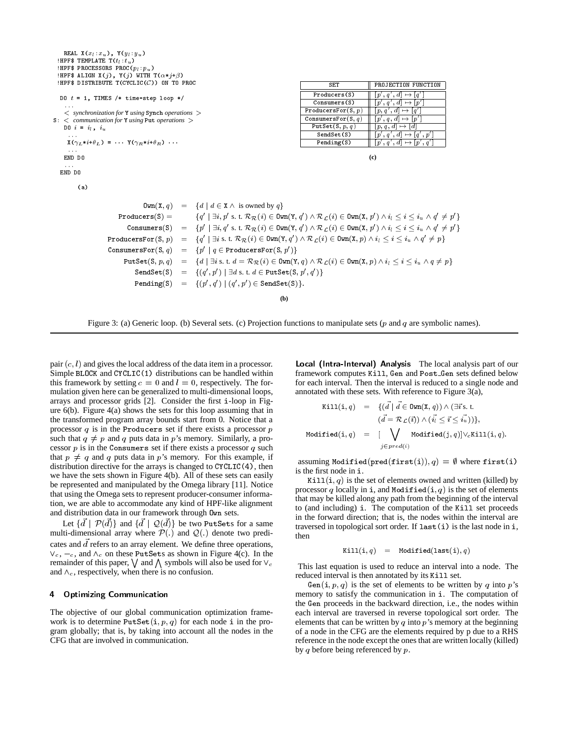```
REAL X(x_l:x_u), Y(y_l:y_u)!HPF$ TEMPLATE T(t_l:t_u)!HPF$ PROCESSORS PROC(p_l:p_u)!HPF$ ALIGN X(j), Y(j) WITH \texttt{T}(\alpha * j + \beta)HPF$ DISTRIBUTE T(CYCLIC(C)) ON TO PROC
                                                                                                                                                          PROJECTION FUNCTION
                                                                                                                                      SET
                                                                                                                                       set production function function function function and \mathbf{P}_{\mathbf{r}}Producers(S) || [p', q', d] \mapsto [q'] ||DO t = 1, TIMES /* time-step loop */
                                                                                                                                                                                     ]
                                                                                                                              Consumers(S) [p', q', d] \mapsto [p]Proofs, p[p, q', d] \mapsto [q']< synchronization for Y using Synch operations >
                                                                                                                                                                                   and the state of the state of the state of the state of the state of the state of the state of the state of the
                                                                                                                           ConsumersFor(S,q) [p', q, d] \mapsto [p']S: < communication for Y using Put operations >
                                                                                                                             PutSet(S, p, q) [p, q, d] \mapsto [d]DO i = i_1, i_2SendSet(S) [|p', q', d| \mapsto [q', p'] |
       X(\gamma_L * i + \theta_L) = \cdots Y(\gamma_R * i + \theta_R) \cdotsPending(S) [p', q', d] \mapsto [p', q]END DO
                                                                                                                                                          (c)
   END DO
            \sqrt{a}\texttt{Own}(X, q) = \{d \mid d \in X \land \text{ is owned by } q\}Products(S) = f0' \mid \exists i, p' \text{ s. t. } \mathcal{R}_\mathcal{R}(i) \in \mathtt{Own}(\mathtt{Y}, q') \land \mathcal{R}_\mathcal{L}(i) \in \mathtt{Own}(\mathtt{X}, p') \land i_l \leq i \leq i_u \land q' \neq p' \}\texttt{Consumers}(S) \quad = \quad \{p' \mid \exists i, q' \text{ s. t. } \mathcal{R}_\mathcal{R}(i) \in \texttt{Own}(Y, q') \land \mathcal{R}_\mathcal{L}(i) \in \texttt{Own}(X, p') \land i_l \leq i \leq i_u \land q' \neq p' \}\texttt{ProductsFor}(\texttt{S}, p) \quad = \quad \{q' \mid \exists i \text{ s. t. } \mathcal{R}_{\mathcal{R}}(i) \in \texttt{Own}(\texttt{Y}, q') \land \mathcal{R}_{\mathcal{L}}(i) \in \texttt{Own}(\texttt{X}, p) \land i_l \leq i \leq i_u \land q' \neq p\}\texttt{ConsumersFor}(\mathtt{S},q) \quad = \quad \{p' \mid q \in \texttt{ProducersFor}(\mathtt{S},p')\}PutSet(S, p, q) = {d | \exists i s. t. d = \mathcal{R}_{\mathcal{R}}(i) \in \text{Own}(Y, q) \land \mathcal{R}_{\mathcal{L}}(i) \in \text{Own}(X, p) \land i_l \leq i \leq i_u \land q \neq p}
                                        \texttt{SendSet}(\mathtt{S}) \quad = \quad \{(q', p') \mid \exists\, d \text{ s. t. } d \in \texttt{PutSet}(\mathtt{S}, p', q')\}\texttt{Pending}(S) \quad = \quad \{(p',q') \mid (q',p') \in \texttt{SendSet}(S)\}.(b)
```


pair  $(c, l)$  and gives the local address of the data item in a processor. Simple BLOCK and CYCLIC(1) distributions can be handled within this framework by setting  $c = 0$  and  $l = 0$ , respectively. The formulation given here can be generalized to multi-dimensional loops, arrays and processor grids [2]. Consider the first <sup>i</sup>-loop in Figure 6(b). Figure 4(a) shows the sets for this loop assuming that in the transformed program array bounds start from 0. Notice that a processor  $q$  is in the Producers set if there exists a processor  $p$ such that  $q \neq p$  and q puts data in p's memory. Similarly, a processor  $p$  is in the Consumers set if there exists a processor  $q$  such that  $p \neq q$  and q puts data in p's memory. For this example, if distribution directive for the arrays is changed to CYCLIC(4), then we have the sets shown in Figure 4(b). All of these sets can easily be represented and manipulated by the Omega library [11]. Notice that using the Omega sets to represent producer-consumer information, we are able to accommodate any kind of HPF-like alignment and distribution data in our framework through Own sets.

Let  $\{\vec{d} \mid \mathcal{P}(\vec{d})\}$  and  $\{\vec{d} \mid \mathcal{Q}(\vec{d})\}$  be two PutSets for a same multi-dimensional array where  $\mathcal{P}(\cdot)$  and  $\mathcal{Q}(\cdot)$  denote two predicates and  $\overrightarrow{d}$  refers to an array element. We define three operations,  $V_c, -c$ , and  $\Lambda_c$  on these PutSets as shown in Figure 4(c). In the remainder of this paper,  $\bigvee$  and  $\bigwedge$  symbols will also be used for  $\vee_c$ and  $\wedge_c$ , respectively, when there is no confusion.

#### 4 **Optimizing Communication**

The objective of our global communication optimization framework is to determine  $PutSet(i, p, q)$  for each node i in the program globally; that is, by taking into account all the nodes in the CFG that are involved in communication.

Local (Intra-Interval) Analysis The local analysis part of our framework computes Kill, Gen and Post Gen sets defined below for each interval. Then the interval is reduced to a single node and annotated with these sets. With reference to Figure 3(a),

$$
\begin{array}{rcl}\n\texttt{Kill}(i,q) & = & \{(d \mid d \in \texttt{Own}(X,q)) \land (\exists i \text{'s.t.}\\
(d = \mathcal{R}_\mathcal{L}(i)) \land (\vec{i_l} \leq \vec{i} \leq \vec{i_u}))\},\n\texttt{Modified}(i,q) & = & [\bigvee_{j \in pred(i)} \texttt{Modified}(j,q)] \lor_c \texttt{Kill}(i,q).\n\end{array}
$$

assuming Modified(pred(first(i)),  $q$ ) =  $\emptyset$  where first(i) is the first node in <sup>i</sup>.

Kill(i, q) is the set of elements owned and written (killed) by processor q locally in i, and Modified $(i, q)$  is the set of elements that may be killed along any path from the beginning of the interval to (and including) <sup>i</sup>. The computation of the Kill set proceeds in the forward direction; that is, the nodes within the interval are traversed in topological sort order. If  $last(i)$  is the last node in i, then

$$
\verb|Kill(i,q)| = \verb|Modified(last(i), q)|
$$

This last equation is used to reduce an interval into a node. The reduced interval is then annotated by its Kill set.

Gen(i,  $p$ ,  $q$ ) is the set of elements to be written by  $q$  into  $p$ 's memory to satisfy the communication in <sup>i</sup>. The computation of the Gen proceeds in the backward direction, i.e., the nodes within each interval are traversed in reverse topological sort order. The elements that can be written by q into  $p$ 's memory at the beginning of a node in the CFG are the elements required by p due to a RHS reference in the node except the ones that are written locally (killed) by q before being referenced by  $p$ .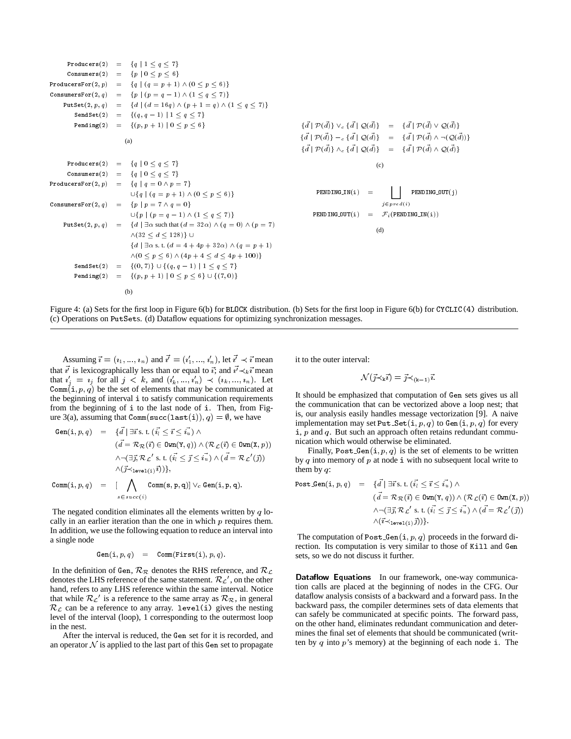Producers(2) <sup>=</sup> fq <sup>j</sup> <sup>1</sup> <sup>q</sup> 7g Consumers(2) <sup>=</sup> fp <sup>j</sup> <sup>0</sup> <sup>p</sup> 6g ProducersFor(2; p) <sup>=</sup> fq <sup>j</sup> (q <sup>=</sup> <sup>p</sup> + 1) ^ (0 <sup>p</sup> 6)g ConsumersFor(2; q) <sup>=</sup> fp <sup>j</sup> (p <sup>=</sup> <sup>q</sup> 1) ^ (1 <sup>q</sup> 7)<sup>g</sup> PutSet(2; p; q) <sup>=</sup> fd <sup>j</sup> (d = 16q) ^ (p +1= q) ^ (1 <sup>q</sup> 7)<sup>g</sup> SendSet(2) <sup>=</sup> f(q; q 1) <sup>j</sup> <sup>1</sup> <sup>q</sup> 7g Pending(2) <sup>=</sup> f(p; p + 1) <sup>j</sup> <sup>0</sup> <sup>p</sup> <sup>6</sup><sup>g</sup> (a) Producers(2) <sup>=</sup> fq <sup>j</sup> <sup>0</sup> <sup>q</sup> 7g Consumers(2) <sup>=</sup> fq <sup>j</sup> <sup>0</sup> <sup>q</sup> 7g ProducersFor(2; p) <sup>=</sup> fq <sup>j</sup> <sup>q</sup> = 0 ^ <sup>p</sup> = 7g [fq <sup>j</sup> (q <sup>=</sup> <sup>p</sup> + 1) ^ (0 <sup>p</sup> 6)g ConsumersFor(2; q) <sup>=</sup> fp <sup>j</sup> <sup>p</sup> = 7 ^ <sup>q</sup> = 0g [fp <sup>j</sup> (p <sup>=</sup> <sup>q</sup> 1) ^ (1 <sup>q</sup> 7)<sup>g</sup> PutSet(2; p; q) <sup>=</sup> fd <sup>j</sup> 9 such that (d = 32) ^ (q = 0) ^ (p = 7) ^(32 <sup>d</sup> 128)g [ fd <sup>j</sup> 9 s. t. (d =4+4p + 32) ^ (q <sup>=</sup> <sup>p</sup> + 1) ^(0 <sup>p</sup> 6) ^ (4p + 4 <sup>d</sup> 4p + 100)g SendSet(2) <sup>=</sup> f(0; 7)g[f(q; q 1) <sup>j</sup> <sup>1</sup> <sup>q</sup> 7g Pending(2) <sup>=</sup> f(p; p + 1) <sup>j</sup> <sup>0</sup> <sup>p</sup> 6g[f(7; 0)<sup>g</sup> (b) fd~ <sup>j</sup> P(d~)g \_c fd~ <sup>j</sup> Q(d~)g <sup>=</sup> fd~ <sup>j</sup> P(d~) \_ Q(d~)g fd~ <sup>j</sup> P(d~)g c fd~ <sup>j</sup> Q(d~)g <sup>=</sup> fd~ <sup>j</sup> P(d~) ^ :(Q(d~))g fd~ <sup>j</sup> P(d~)g ^c fd~ <sup>j</sup> Q(d~)g <sup>=</sup> fd~ <sup>j</sup> P(d~) ^ Q(d~)g (c) PENDING IN(i) <sup>=</sup> <sup>G</sup> j2pred(i) PENDING OUT(j) PENDING OUT(i) <sup>=</sup> Fi(PENDING IN(i)) (d)



Assuming  $\vec{i} = (i_1, ..., i_n)$  and  $\vec{i'} = (i'_1, ..., i'_n)$ , let  $\vec{i'} \prec \vec{i}$  mean that  $i'$  is lexicographically less than or equal to  $\vec{i}$ ; and  $i' \prec_k \vec{i}$  mean that  $i'_{j} = i_{j}$  for all  $j \, \langle \, k, \, \text{and} \, (i'_{k}, \, \ldots, \, i'_{n}) \, \rangle \, \langle \, (i_{k}, \, \ldots, \, i_{n}) \rangle$ . Let Comm(i,  $p$ ,  $q$ ) be the set of elements that may be communicated at the beginning of interval <sup>i</sup> to satisfy communication requirements from the beginning of <sup>i</sup> to the last node of <sup>i</sup>. Then, from Figure 3(a), assuming that Comm(succ(last(i)),  $q$ ) =  $\emptyset$ , we have

Gen(i, p, q) = {
$$
\vec{d}
$$
 |  $\exists \vec{i}$  s. t. ( $\vec{i}_l \leq \vec{i} \leq \vec{i}_u$ )   
\n( $\vec{d} = \mathcal{R}_{\mathcal{R}}(\vec{i}) \in \text{Sum}(Y, q)$ )  $\land$  ( $\mathcal{R}_{\mathcal{L}}(\vec{i}) \in \text{Sum}(X, p)$ )  
\n $\land \neg(\exists \vec{j}, \mathcal{R}_{\mathcal{L}}' \text{ s. t. } (\vec{i}_l \leq \vec{j} \leq \vec{i}_u) \land (\vec{d} = \mathcal{R}_{\mathcal{L}}'(\vec{j}))$   
\n $\land (\vec{j} \prec_{\text{level}(i)} \vec{i})$  },  
\nComm(i, p, q) = [ $\bigwedge_{s \in succ(i)} \text{Comm}(s, p, q)$ ]  $\lor_c \text{Gen}(i, p, q)$ .

The negated condition eliminates all the elements written by  $q$  locally in an earlier iteration than the one in which  $p$  requires them. In addition, we use the following equation to reduce an interval into a single node

$$
\mathtt{Gen}(\mathtt{i},p,q) \quad = \quad \mathtt{Comm}(\mathtt{First}(\mathtt{i}),p,q).
$$

In the definition of Gen,  $\mathcal{R}_{\mathcal{R}}$  denotes the RHS reference, and  $\mathcal{R}_{\mathcal{L}}$ denotes the LHS reference of the same statement.  $\mathcal{R}_{\mathcal{L}}'$  , on the other hand, refers to any LHS reference within the same interval. Notice that while  $\mathcal{R}_{\mathcal{L}}'$  is a reference to the same array as  $\mathcal{R}_{\mathcal{R}}$ , in general  $\mathcal{R}_c$  can be a reference to any array. level (i) gives the nesting level of the interval (loop), 1 corresponding to the outermost loop in the nest.

After the interval is reduced, the Gen set for it is recorded, and an operator  $N$  is applied to the last part of this Gen set to propagate

it to the outer interval:

$$
\mathcal{N}(\vec{j}\prec_{\mathrm{k}}\vec{\imath})=\vec{j}\prec_{(\mathrm{k}-1)}\vec{\imath}.
$$

It should be emphasized that computation of Gen sets gives us all the communication that can be vectorized above a loop nest; that is, our analysis easily handles message vectorization [9]. A naive implementation may set Put Set $(i, p, q)$  to Gen $(i, p, q)$  for every  $i, p$  and q. But such an approach often retains redundant communication which would otherwise be eliminated.

Finally, Post Gen $(i, p, q)$  is the set of elements to be written by q into memory of  $p$  at node i with no subsequent local write to them by  $q$ :

$$
\begin{array}{rcl}\n\texttt{Post\_Gen}(i, p, q) & = & \{ \vec{d} \mid \exists \vec{\imath} \text{ s. t.} \ (\vec{i_1} \leq \vec{\imath} \leq \vec{i_u}) \land \\
& (\vec{d} = \mathcal{R}_{\mathcal{R}}(\vec{\imath}) \in \texttt{Own}(Y, q)) \land (\mathcal{R}_{\mathcal{L}}(\vec{\imath}) \in \texttt{Own}(X, p)) \\
& \land \neg(\exists \vec{\jmath}, \mathcal{R}_{\mathcal{L}}' \text{ s. t.} \ (\vec{i_1} \leq \vec{\jmath} \leq \vec{i_u}) \land (\vec{d} = \mathcal{R}_{\mathcal{L}}'(\vec{\jmath})) \\
& \land (\vec{\imath} \prec_{1 \texttt{eval}(i)} \vec{\jmath})) \}.\n\end{array}
$$

The computation of Post Gen $(i, p, q)$  proceeds in the forward direction. Its computation is very similar to those of Kill and Gen sets, so we do not discuss it further.

Dataflow Equations In our framework, one-way communication calls are placed at the beginning of nodes in the CFG. Our dataflow analysis consists of a backward and a forward pass. In the backward pass, the compiler determines sets of data elements that can safely be communicated at specific points. The forward pass, on the other hand, eliminates redundant communication and determines the final set of elements that should be communicated (written by  $q$  into  $p$ 's memory) at the beginning of each node i. The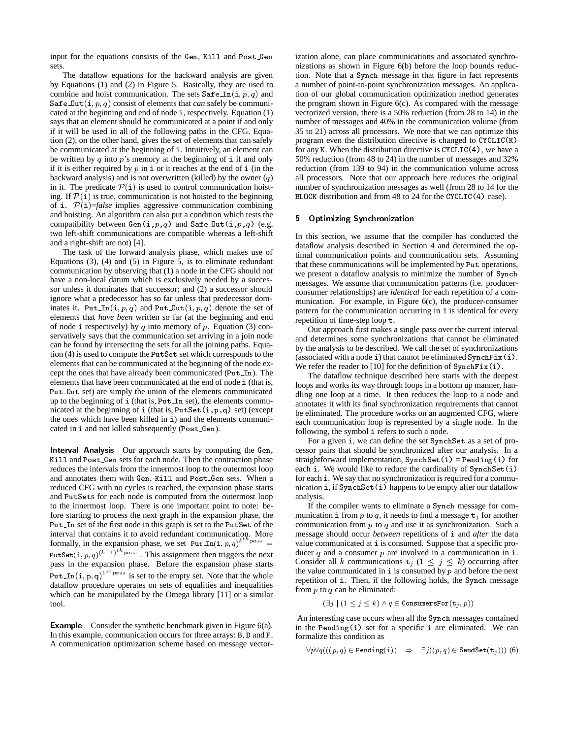input for the equations consists of the Gen, Kill and Post Gen sets.

The dataflow equations for the backward analysis are given by Equations (1) and (2) in Figure 5. Basically, they are used to combine and hoist communication. The sets  $\texttt{Safe\_In}(i, p, q)$  and Safe\_0ut $(i, p, q)$  consist of elements that *can* safely be communicated at the beginning and end of node <sup>i</sup>, respectively. Equation (1) says that an element should be communicated at a point if and only if it will be used in all of the following paths in the CFG. Equation (2), on the other hand, gives the set of elements that can safely be communicated at the beginning of <sup>i</sup>. Intuitively, an element can be written by q into  $p$ 's memory at the beginning of i if and only if it is either required by  $p$  in  $\mathbf{i}$  or it reaches at the end of  $\mathbf{i}$  (in the backward analysis) and is not overwritten (killed) by the owner  $(q)$ in it. The predicate  $P(i)$  is used to control communication hoisting. If  $\mathcal{P}(i)$  is true, communication is not hoisted to the beginning of i.  $P(i)$ =*false* implies aggressive communication combining and hoisting. An algorithm can also put a condition which tests the compatibility between  $Gen(i, p, q)$  and  $Safe\_Out(i, p, q)$  (e.g. two left-shift communications are compatible whereas a left-shift and a right-shift are not) [4].

The task of the forward analysis phase, which makes use of Equations (3), (4) and (5) in Figure 5, is to eliminate redundant communication by observing that (1) a node in the CFG should not have a non-local datum which is exclusively needed by a successor unless it dominates that successor; and (2) a successor should ignore what a predecessor has so far unless that predecessor dominates it. Put In $(i, p, q)$  and Put Out $(i, p, q)$  denote the set of elements that *have been* written so far (at the beginning and end of node i respectively) by q into memory of p. Equation (3) conservatively says that the communication set arriving in a join node can be found by intersecting the sets for all the joining paths. Equation (4) is used to compute the PutSet set which corresponds to the elements that can be communicated at the beginning of the node except the ones that have already been communicated (Put In). The elements that have been communicated at the end of node <sup>i</sup> (that is, Put Out set) are simply the union of the elements communicated up to the beginning of <sup>i</sup> (that is, Put In set), the elements communicated at the beginning of <sup>i</sup> (that is, PutSet(i,p,q) set) (except the ones which have been killed in <sup>i</sup>) and the elements communicated in <sup>i</sup> and not killed subsequently (Post Gen).

Interval Analysis Our approach starts by computing the Gen, Kill and Post Gen sets for each node. Then the contraction phase reduces the intervals from the innermost loop to the outermost loop and annotates them with Gen, Kill and Post Gen sets. When a reduced CFG with no cycles is reached, the expansion phase starts and PutSets for each node is computed from the outermost loop to the innermost loop. There is one important point to note: before starting to process the next graph in the expansion phase, the Put In set of the first node in this graph is set to the PutSet of the interval that contains it to avoid redundant communication. More formally, in the expansion phase, we set  $Put\_In(i, p, q)^{k^{th}pass}$  = PutSet $(i, p, q)^{(k-1)^{th} \text{pass}}$ . This assignment then triggers the next pass in the expansion phase. Before the expansion phase starts Put In $(i, p, q)^{1}$ <sup>r</sup>  $^{pass}$  is set to the empty set. Note that the whole dataflow procedure operates on sets of equalities and inequalities which can be manipulated by the Omega library [11] or a similar tool.

**Example** Consider the synthetic benchmark given in Figure 6(a). In this example, communication occurs for three arrays: <sup>B</sup>, <sup>D</sup> and <sup>F</sup>. A communication optimization scheme based on message vectorization alone, can place communications and associated synchronizations as shown in Figure 6(b) before the loop bounds reduction. Note that a Synch message in that figure in fact represents a number of point-to-point synchronization messages. An application of our global communication optimization method generates the program shown in Figure 6(c). As compared with the message vectorized version, there is a 50% reduction (from 28 to 14) in the number of messages and 40% in the communication volume (from 35 to 21) across all processors. We note that we can optimize this program even the distribution directive is changed to CYCLIC(K) for any <sup>K</sup>. When the distribution directive is CYCLIC(4), we have a 50% reduction (from 48 to 24) in the number of messages and 32% reduction (from 139 to 94) in the communication volume across all processors. Note that our approach here reduces the original number of synchronization messages as well (from 28 to 14 for the BLOCK distribution and from 48 to 24 for the CYCLIC(4) case).

#### 5 Optimizing Synchronization 5

In this section, we assume that the compiler has conducted the dataflow analysis described in Section 4 and determined the optimal communication points and communication sets. Assuming that these communications will be implemented by Put operations, we present a dataflow analysis to minimize the number of Synch messages. We assume that communication patterns (i.e. producerconsumer relationships) are *identical* for each repetition of a communication. For example, in Figure 6(c), the producer-consumer pattern for the communication occurring in <sup>1</sup> is identical for every repetition of time-step loop <sup>t</sup>.

Our approach first makes a single pass over the current interval and determines some synchronizations that cannot be eliminated by the analysis to be described. We call the set of synchronizations (associated with a node i) that cannot be eliminated  $SymchFix(i)$ . We refer the reader to  $[10]$  for the definition of  $SynchFix(i)$ .

The dataflow technique described here starts with the deepest loops and works its way through loops in a bottom up manner, handling one loop at a time. It then reduces the loop to a node and annotates it with its final synchronization requirements that cannot be eliminated. The procedure works on an augmented CFG, where each communication loop is represented by a single node. In the following, the symbol <sup>i</sup> refers to such a node.

For a given <sup>i</sup>, we can define the set SynchSet as a set of processor pairs that should be synchronized after our analysis. In a straightforward implementation,  $SynchSet(i) = Pending(i)$  for each i. We would like to reduce the cardinality of  $SynchSet(i)$ for each <sup>i</sup>. We say that no synchronization is required for a communication <sup>i</sup>, if SynchSet(i) happens to be empty after our dataflow analysis.

If the compiler wants to eliminate a Synch message for communication i from p to q, it needs to find a message  $t_i$  for another communication from  $p$  to  $q$  and use it as synchronization. Such a message should occur *between* repetitions of <sup>i</sup> and *after* the data value communicated at <sup>i</sup> is consumed. Suppose that a specific producer  $q$  and a consumer  $p$  are involved in a communication in i. Consider all k communications  $t_j$  ( $1 \leq j \leq k$ ) occurring after the value communicated in  $\mathbf i$  is consumed by  $p$  and before the next repetition of <sup>i</sup>. Then, if the following holds, the Synch message from  $p$  to  $q$  can be eliminated:

 $(\exists j \mid (1 \leq j \leq k) \land q \in \texttt{ConsumerSFor}(\mathtt{t}_j, p))$ 

An interesting case occurs when all the Synch messages contained in the Pending(i) set for a specific <sup>i</sup> are eliminated. We can formalize this condition as

$$
\forall p \forall q (((p, q) \in \text{Pending(i)}) \Rightarrow \exists j ((p, q) \in \text{SendSet}(\mathtt{t}_j))) \text{ (6)}
$$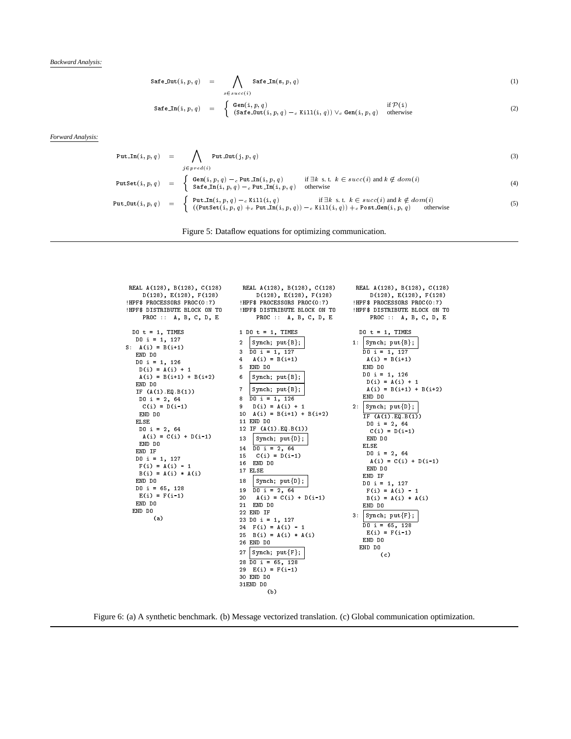*Backward Analysis:*

$$
\text{Safe\_Out}(i, p, q) = \bigwedge_{s \in succ(i)} \text{Safe\_In}(s, p, q) \tag{1}
$$

$$
\texttt{Safe\_In}(i, p, q) = \begin{cases} \texttt{Gen}(i, p, q) & \texttt{if } \mathcal{P}(i) \\ (\texttt{Safe\_Out}(i, p, q) - c \texttt{Kill}(i, q)) \lor_c \texttt{Gen}(i, p, q) & \texttt{otherwise} \end{cases} \tag{2}
$$

*Forward Analysis:*

Put
$$
\begin{array}{rcl}\n\texttt{Put\_In}(i, p, q) & = & \bigwedge_{j \in pred(i)} \texttt{Put\_Out}(j, p, q) \\
& & \texttt{putSet}(i, p, q) = & \begin{cases}\n\texttt{Gen}(i, p, q) - c \texttt{Put\_In}(i, p, q) & \texttt{if } \exists k \text{ s.t. } k \in succ(i) \text{ and } k \notin dom(i) \\
\texttt{Safe\_In}(i, p, q) - c \texttt{Put\_In}(i, p, q) & \texttt{otherwise}\n\end{cases}\n\end{array}\n\tag{3}
$$
\n
$$
\texttt{Put\_Out}(i, p, q) = \begin{cases}\n\texttt{Put\_In}(i, p, q) - c \texttt{Put\_In}(i, p, q) & \texttt{if } \exists k \text{ s.t. } k \in succ(i) \text{ and } k \notin dom(i) \\
(\texttt{PutSet}(i, p, q) + c \texttt{Put\_In}(i, p, q)) - c \texttt{With}(i, q) & \texttt{if } \exists k \text{ s.t. } k \in succ(i) \text{ and } k \notin dom(i) \\
(\texttt{PutSet}(i, p, q) + c \texttt{Put\_In}(i, p, q)) - c \texttt{With}(i, q) & \texttt{if } \exists k \text{ s.t. } k \in succ(i) \text{ and } k \notin dom(i)\n\end{cases}\n\tag{5}
$$

|  |  | Figure 5: Dataflow equations for optimizing communication |
|--|--|-----------------------------------------------------------|
|  |  |                                                           |
|  |  |                                                           |
|  |  |                                                           |

| REAL A(128), B(128), C(128)<br>$D(128)$ , $E(128)$ , $F(128)$<br>!HPF\$ PROCESSORS PROC(0:7)<br>!HPF\$ DISTRIBUTE BLOCK ON TO<br>PROC :: A, B, C, D, E                                                                                                                                                                                                                                                                                        | REAL A(128), B(128), C(128)<br>$D(128)$ , $E(128)$ , $F(128)$<br>!HPF\$ PROCESSORS PROC(0:7)<br>!HPF\$ DISTRIBUTE BLOCK ON TO<br>PROC :: A, B, C, D, E                                                                                                                                                                                                                                                                                                                                                                                                                                                                                                                                                                                 | REAL A(128), B(128), C(128)<br>$D(128)$ , $E(128)$ , $F(128)$<br>!HPF\$ PROCESSORS PROC(0:7)<br>!HPF\$ DISTRIBUTE BLOCK ON TO<br>PROC :: A, B, C, D, E                                                                                                                                                                                                                                                                                                                                                                                         |  |
|-----------------------------------------------------------------------------------------------------------------------------------------------------------------------------------------------------------------------------------------------------------------------------------------------------------------------------------------------------------------------------------------------------------------------------------------------|----------------------------------------------------------------------------------------------------------------------------------------------------------------------------------------------------------------------------------------------------------------------------------------------------------------------------------------------------------------------------------------------------------------------------------------------------------------------------------------------------------------------------------------------------------------------------------------------------------------------------------------------------------------------------------------------------------------------------------------|------------------------------------------------------------------------------------------------------------------------------------------------------------------------------------------------------------------------------------------------------------------------------------------------------------------------------------------------------------------------------------------------------------------------------------------------------------------------------------------------------------------------------------------------|--|
| $D0 t = 1$ , TIMES<br>$D0$ i = 1, 127<br>$S: A(i) = B(i+1)$<br>END DO<br>$D0$ i = 1, 126<br>$D(i) = A(i) + 1$<br>$A(i) = B(i+1) + B(i+2)$<br>END DO<br>IF $(A(1).EQ.B(1))$<br>$D0 i = 2, 64$<br>$C(i) = D(i-1)$<br>END DO<br>ELSE<br>$D0$ i = 2, 64<br>$A(i) = C(i) + D(i-1)$<br>END DO<br>END IF<br>$D0$ i = 1, 127<br>$F(i) = A(i) - 1$<br>$B(i) = A(i) * A(i)$<br>END DO<br>$D0$ i = 65, 128<br>$E(i) = F(i-1)$<br>END DO<br>END DO<br>(a) | $1$ DO $t = 1$ , TIMES<br>$\overline{2}$<br>Synch; $put{B};$<br>$D0$ i = 1, 127<br>3<br>4<br>$A(i) = B(i+1)$<br>5<br>END DO<br>6<br>Synch; $put{B};$<br>$\overline{7}$<br>Synch; $put{B};$<br>$D0$ i = 1, 126<br>8<br>9<br>$D(i) = A(i) + 1$<br>10 $A(i) = B(i+1) + B(i+2)$<br>11 END DO<br>12 IF $(A(1)$ . EQ. B(1))<br>13<br>Synch; $put{D};$<br>14 $\overline{D0}$ i = 2, 64<br>$C(i) = D(i-1)$<br>15<br>16 END DO<br>17 ELSE<br>18<br>Synch; $put{D};$<br>$D0$ i = 2, 64<br>19<br>20<br>$A(i) = C(i) + D(i-1)$<br>21 END DO<br>22 END IF<br>$23$ DO i = 1, 127<br>$24$ F(i) = A(i) - 1<br>$25 B(i) = A(i) * A(i)$<br>26 END DO<br>27<br>$ $ Synch; $put{F};$<br>$28$ DO i = 65, 128<br>29 $E(i) = F(i-1)$<br>30 END DO<br>31END DO | $D0 t = 1$ , TIMES<br>1: $Synch; put {B};$<br>DO i = 1, $\overline{127}$<br>$A(i) = B(i+1)$<br>END DO<br>$D0$ i = 1, 126<br>$D(i) = A(i) + 1$<br>$A(i) = B(i+1) + B(i+2)$<br>END DO<br>$ $ Synch; $put{D};$<br>2:<br>IF $(A(1).EQ.B(1))$<br>DO i = 2, 64<br>$C(i) = D(i-1)$<br>END DO<br><b>ELSE</b><br>$D0$ i = 2, 64<br>$A(i) = C(i) + D(i-1)$<br>END DO<br>END IF<br>$D0$ i = 1, 127<br>$F(i) = A(i) - 1$<br>$B(i) = A(i) * A(i)$<br>END DO<br>З.<br>$\{Synch; put{F}\};$<br>$D0$ i = 65, 128<br>$E(i) = F(i-1)$<br>END DO<br>END DO<br>(c) |  |
|                                                                                                                                                                                                                                                                                                                                                                                                                                               | (b)                                                                                                                                                                                                                                                                                                                                                                                                                                                                                                                                                                                                                                                                                                                                    |                                                                                                                                                                                                                                                                                                                                                                                                                                                                                                                                                |  |

Figure 6: (a) A synthetic benchmark. (b) Message vectorized translation. (c) Global communication optimization.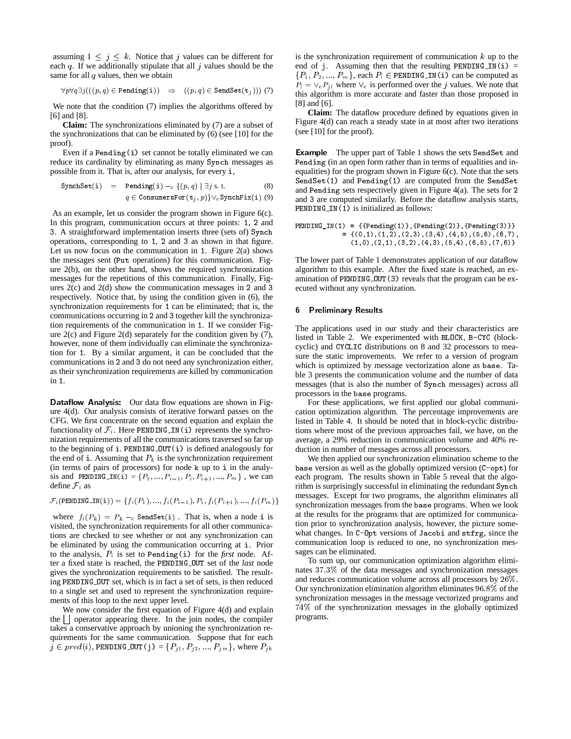assuming  $1 \leq j \leq k$ . Notice that j values can be different for each q. If we additionally stipulate that all  $j$  values should be the same for all  $q$  values, then we obtain

 $\forall p \forall q \exists j (((p, q) \in \text{Pending}(i)) \Rightarrow ((p, q) \in \text{SendSet}(t_j)))$  (7)

We note that the condition (7) implies the algorithms offered by [6] and [8].

**Claim:** The synchronizations eliminated by (7) are a subset of the synchronizations that can be eliminated by (6) (see [10] for the proof).

Even if a Pending(i) set cannot be totally eliminated we can reduce its cardinality by eliminating as many Synch messages as possible from it. That is, after our analysis, for every <sup>i</sup>,

$$
\begin{array}{ll}\n\texttt{SynchSet}(i) & = & \texttt{Pending}(i) -_c \{ (p, q) \mid \exists j \text{ s.t.} \quad (8) \\
& q \in \texttt{ConsumesFor}(t_j, p) \} \vee_c \texttt{SynchFix}(i) \quad (9)\n\end{array}
$$

As an example, let us consider the program shown in Figure 6(c). In this program, communication occurs at three points: <sup>1</sup>, <sup>2</sup> and <sup>3</sup>. A straightforward implementation inserts three (sets of) Synch operations, corresponding to <sup>1</sup>, <sup>2</sup> and <sup>3</sup> as shown in that figure. Let us now focus on the communication in <sup>1</sup>. Figure 2(a) shows the messages sent (Put operations) for this communication. Figure 2(b), on the other hand, shows the required synchronization messages for the repetitions of this communication. Finally, Figures 2(c) and 2(d) show the communication messages in <sup>2</sup> and <sup>3</sup> respectively. Notice that, by using the condition given in (6), the synchronization requirements for <sup>1</sup> can be eliminated; that is, the communications occurring in <sup>2</sup> and <sup>3</sup> together kill the synchronization requirements of the communication in <sup>1</sup>. If we consider Figure  $2(c)$  and Figure  $2(d)$  separately for the condition given by  $(7)$ , however, none of them individually can eliminate the synchronization for <sup>1</sup>. By a similar argument, it can be concluded that the communications in <sup>2</sup> and <sup>3</sup> do not need any synchronization either, as their synchronization requirements are killed by communication in <sup>1</sup>.

Dataflow Analysis: Our data flow equations are shown in Figure 4(d). Our analysis consists of iterative forward passes on the CFG. We first concentrate on the second equation and explain the functionality of  $\mathcal{F}_i$ . Here PENDING<sub>IN</sub>(i) represents the synchronization requirements of all the communications traversed so far up to the beginning of <sup>i</sup>. PENDING OUT(i) is defined analogously for the end of i. Assuming that  $P_k$  is the synchronization requirement (in terms of pairs of processors) for node <sup>k</sup> up to <sup>i</sup> in the analysis and PENDING IN(i) = { $P_1, ..., P_{i-1}, P_i, P_{i+1}, ..., P_m$ }, we can define  $\mathcal{F}_i$  as

 $\mathcal{F}_i$  (PENDING\_IN(i)) = { $f_i(P_1), ..., f_i(P_{i-1}), P_i, f_i(P_{i+1}), ..., f_i(P_m)$ }

where  $f_i(P_k) = P_k - c$  SendSet(i). That is, when a node i is visited, the synchronization requirements for all other communications are checked to see whether or not any synchronization can be eliminated by using the communication occurring at <sup>i</sup>. Prior to the analysis,  $P_i$  is set to Pending(i) for the *first* node. After a fixed state is reached, the PENDING OUT set of the *last* node gives the synchronization requirements to be satisfied. The resulting PENDING OUT set, which is in fact a set of sets, is then reduced to a single set and used to represent the synchronization requirements of this loop to the next upper level.

We now consider the first equation of Figure 4(d) and explain the  $\vert \vert$  operator appearing there. In the join nodes, the compiler takes a conservative approach by unioning the synchronization requirements for the same communication. Suppose that for each  $j \in pred(i)$ , PENDING OUT(j) =  $\{P_{j1}, P_{j2}, ..., P_{jm}\}$ , where  $P_{jk}$ 

is the synchronization requirement of communication  $k$  up to the end of j. Assuming then that the resulting PENDING IN(i) =  $\{P_1, P_2, ..., P_m\}$ , each  $P_l \in \text{PENDING\_IN(i)}$  can be computed as  $P_l = \vee_c P_{il}$  where  $\vee_c$  is performed over the j values. We note that this algorithm is more accurate and faster than those proposed in [8] and [6].

**Claim:** The dataflow procedure defined by equations given in Figure 4(d) can reach a steady state in at most after two iterations (see [10] for the proof).

Example The upper part of Table 1 shows the sets SendSet and Pending (in an open form rather than in terms of equalities and inequalities) for the program shown in Figure 6(c). Note that the sets SendSet(1) and Pending(1) are computed from the SendSet and Pending sets respectively given in Figure 4(a). The sets for <sup>2</sup> and <sup>3</sup> are computed similarly. Before the dataflow analysis starts, PENDING IN(1) is initialized as follows:

```
PENDING_IN(1) = {{Pending(1)},{Pending(2)},{Pending(3)}}
           = {(0,1),(1,2),(2,3),(3,4),(4,5),(5,6),(6,7),
            (1,0),(2,1),(3,2),(4,3),(5,4),(6,5),(7,6)}
```
The lower part of Table 1 demonstrates application of our dataflow algorithm to this example. After the fixed state is reached, an examination of PENDING OUT(3) reveals that the program can be executed without any synchronization.

### 6 Preliminary Results

The applications used in our study and their characteristics are listed in Table 2. We experimented with BLOCK, B-CYC (blockcyclic) and CYCLIC distributions on 8 and 32 processors to measure the static improvements. We refer to a version of program which is optimized by message vectorization alone as base. Table 3 presents the communication volume and the number of data messages (that is also the number of Synch messages) across all processors in the base programs.

For these applications, we first applied our global communication optimization algorithm. The percentage improvements are listed in Table 4. It should be noted that in block-cyclic distributions where most of the previous approaches fail, we have, on the average, a 29% reduction in communication volume and 40% reduction in number of messages across all processors.

We then applied our synchronization elimination scheme to the base version as well as the globally optimized version (C-opt) for each program. The results shown in Table 5 reveal that the algorithm is surprisingly successful in eliminating the redundant Synch messages. Except for two programs, the algorithm eliminates all synchronization messages from the base programs. When we look at the results for the programs that are optimized for communication prior to synchronization analysis, however, the picture somewhat changes. In C-Opt versions of Jacobi and stfrg, since the communication loop is reduced to one, no synchronization messages can be eliminated.

To sum up, our communication optimization algorithm eliminates 37:3% of the data messages and synchronization messages and reduces communication volume across all processors by 26%. Our synchronization elimination algorithm eliminates 96:8% of the synchronization messages in the message vectorized programs and 74% of the synchronization messages in the globally optimized programs.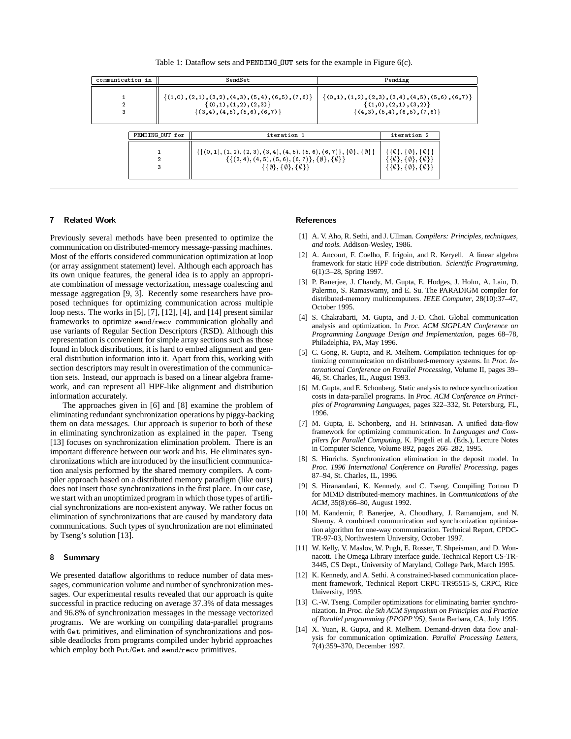Table 1: Dataflow sets and PENDING OUT sets for the example in Figure 6(c).

| communication in |                 | SendSet                                                                                                            |                                                                                                                                                                                                                                                                                                                |  |  |  |  |
|------------------|-----------------|--------------------------------------------------------------------------------------------------------------------|----------------------------------------------------------------------------------------------------------------------------------------------------------------------------------------------------------------------------------------------------------------------------------------------------------------|--|--|--|--|
| 2<br>3           |                 | $\{(1,0),(2,1),(3,2),(4,3),(5,4),(6,5),(7,6)\}$<br>$\{(0,1), (1,2), (2,3)\}\$<br>$\{(3,4), (4,5), (5,6), (6,7)\}\$ | $\{(0,1), (1,2), (2,3), (3,4), (4,5), (5,6), (6,7)\}\$<br>$\{(1,0),(2,1),(3,2)\}\$<br>$\{(4,3), (5,4), (6,5), (7,6)\}\$                                                                                                                                                                                        |  |  |  |  |
|                  | PENDING_OUT for | iteration 1                                                                                                        | iteration 2<br>$\{\{(0, 1), (1, 2), (2, 3), (3, 4), (4, 5), (5, 6), (6, 7)\}, \{\emptyset\}, \{\emptyset\}\}\$<br>$\{\{0\}, \{0\}, \{0\}\}\$<br>$\{\{\emptyset\}, \{\emptyset\}, \{\emptyset\}\}\$<br>$\{\{\emptyset\}, \{\emptyset\}, \{\emptyset\}\}\$<br>$\{\{\emptyset\}, \{\emptyset\}, \{\emptyset\}\}\$ |  |  |  |  |
|                  |                 |                                                                                                                    |                                                                                                                                                                                                                                                                                                                |  |  |  |  |

#### **Related Work**  $\overline{7}$

Previously several methods have been presented to optimize the communication on distributed-memory message-passing machines. Most of the efforts considered communication optimization at loop (or array assignment statement) level. Although each approach has its own unique features, the general idea is to apply an appropriate combination of message vectorization, message coalescing and message aggregation [9, 3]. Recently some researchers have proposed techniques for optimizing communication across multiple loop nests. The works in [5], [7], [12], [4], and [14] present similar frameworks to optimize send/recv communication globally and use variants of Regular Section Descriptors (RSD). Although this representation is convenient for simple array sections such as those found in block distributions, it is hard to embed alignment and general distribution information into it. Apart from this, working with section descriptors may result in overestimation of the communication sets. Instead, our approach is based on a linear algebra framework, and can represent all HPF-like alignment and distribution information accurately.

The approaches given in [6] and [8] examine the problem of eliminating redundant synchronization operations by piggy-backing them on data messages. Our approach is superior to both of these in eliminating synchronization as explained in the paper. Tseng [13] focuses on synchronization elimination problem. There is an important difference between our work and his. He eliminates synchronizations which are introduced by the insufficient communication analysis performed by the shared memory compilers. A compiler approach based on a distributed memory paradigm (like ours) does not insert those synchronizations in the first place. In our case, we start with an unoptimized program in which those types of artificial synchronizations are non-existent anyway. We rather focus on elimination of synchronizations that are caused by mandatory data communications. Such types of synchronization are not eliminated by Tseng's solution [13].

#### 8 **Summary**

We presented dataflow algorithms to reduce number of data messages, communication volume and number of synchronization messages. Our experimental results revealed that our approach is quite successful in practice reducing on average 37.3% of data messages and 96.8% of synchronization messages in the message vectorized programs. We are working on compiling data-parallel programs with Get primitives, and elimination of synchronizations and possible deadlocks from programs compiled under hybrid approaches which employ both Put/Get and send/recv primitives.

## References

- [1] A. V. Aho, R. Sethi, and J. Ullman. *Compilers: Principles, techniques, and tools.* Addison-Wesley, 1986.
- [2] A. Ancourt, F. Coelho, F. Irigoin, and R. Keryell. A linear algebra framework for static HPF code distribution. *Scientific Programming,* 6(1):3–28, Spring 1997.
- [3] P. Banerjee, J. Chandy, M. Gupta, E. Hodges, J. Holm, A. Lain, D. Palermo, S. Ramaswamy, and E. Su. The PARADIGM compiler for distributed-memory multicomputers. *IEEE Computer*, 28(10):37–47, October 1995.
- [4] S. Chakrabarti, M. Gupta, and J.-D. Choi. Global communication analysis and optimization. In *Proc. ACM SIGPLAN Conference on Programming Language Design and Implementation,* pages 68–78, Philadelphia, PA, May 1996.
- [5] C. Gong, R. Gupta, and R. Melhem. Compilation techniques for optimizing communication on distributed-memory systems. In *Proc. International Conference on Parallel Processing,* Volume II, pages 39– 46, St. Charles, IL, August 1993.
- [6] M. Gupta, and E. Schonberg. Static analysis to reduce synchronization costs in data-parallel programs. In *Proc. ACM Conference on Principles of Programming Languages*, pages 322–332, St. Petersburg, FL, 1996.
- [7] M. Gupta, E. Schonberg, and H. Srinivasan. A unified data-flow framework for optimizing communication. In *Languages and Compilers for Parallel Computing,* K. Pingali et al. (Eds.), Lecture Notes in Computer Science, Volume 892, pages 266–282, 1995.
- [8] S. Hinrichs. Synchronization elimination in the deposit model. In *Proc. 1996 International Conference on Parallel Processing,* pages 87–94, St. Charles, IL, 1996.
- [9] S. Hiranandani, K. Kennedy, and C. Tseng. Compiling Fortran D for MIMD distributed-memory machines. In *Communications of the ACM*, 35(8):66–80, August 1992.
- [10] M. Kandemir, P. Banerjee, A. Choudhary, J. Ramanujam, and N. Shenoy. A combined communication and synchronization optimization algorithm for one-way communication. Technical Report, CPDC-TR-97-03, Northwestern University, October 1997.
- [11] W. Kelly, V. Maslov, W. Pugh, E. Rosser, T. Shpeisman, and D. Wonnacott. The Omega Library interface guide. Technical Report CS-TR-3445, CS Dept., University of Maryland, College Park, March 1995.
- [12] K. Kennedy, and A. Sethi. A constrained-based communication placement framework, Technical Report CRPC-TR95515-S, CRPC, Rice University, 1995.
- [13] C.-W. Tseng. Compiler optimizations for eliminating barrier synchronization. In *Proc. the 5th ACM Symposium on Principles and Practice of Parallel programming (PPOPP'95)*, Santa Barbara, CA, July 1995.
- [14] X. Yuan, R. Gupta, and R. Melhem. Demand-driven data flow analysis for communication optimization. *Parallel Processing Letters,* 7(4):359–370, December 1997.